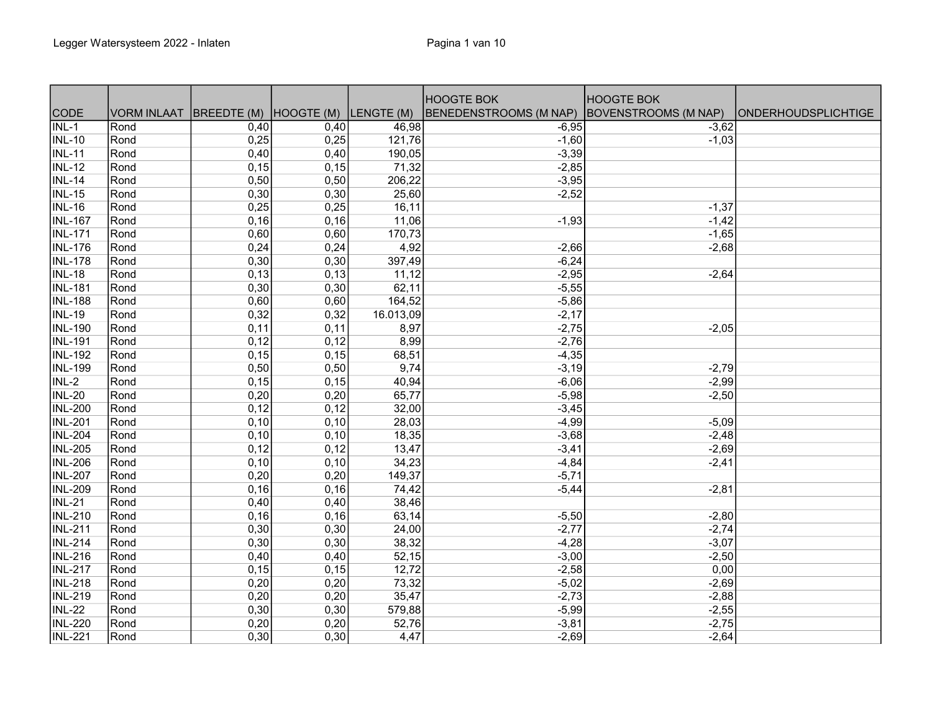|                           |             |                                   |       |           | <b>HOOGTE BOK</b>      | <b>HOOGTE BOK</b>           |                            |
|---------------------------|-------------|-----------------------------------|-------|-----------|------------------------|-----------------------------|----------------------------|
| CODE                      | VORM INLAAT | BREEDTE (M) HOOGTE (M) LENGTE (M) |       |           | BENEDENSTROOMS (M NAP) | <b>BOVENSTROOMS (M NAP)</b> | <b>ONDERHOUDSPLICHTIGE</b> |
| $\overline{\text{INL-1}}$ | Rond        | 0,40                              | 0,40  | 46,98     | $-6,95$                | $-3,62$                     |                            |
| <b>INL-10</b>             | Rond        | 0,25                              | 0,25  | 121,76    | $-1,60$                | $-1,03$                     |                            |
| <b>INL-11</b>             | Rond        | 0,40                              | 0,40  | 190,05    | $-3,39$                |                             |                            |
| <b>INL-12</b>             | Rond        | 0,15                              | 0,15  | 71,32     | $-2,85$                |                             |                            |
| <b>INL-14</b>             | Rond        | 0,50                              | 0,50  | 206,22    | $-3,95$                |                             |                            |
| <b>INL-15</b>             | Rond        | 0,30                              | 0,30  | 25,60     | $-2,52$                |                             |                            |
| <b>INL-16</b>             | Rond        | 0,25                              | 0,25  | 16,11     |                        | $-1,37$                     |                            |
| <b>INL-167</b>            | Rond        | 0,16                              | 0,16  | 11,06     | $-1,93$                | $-1,42$                     |                            |
| <b>INL-171</b>            | Rond        | 0,60                              | 0,60  | 170,73    |                        | $-1,65$                     |                            |
| <b>INL-176</b>            | Rond        | 0,24                              | 0,24  | 4,92      | $-2,66$                | $-2,68$                     |                            |
| <b>INL-178</b>            | Rond        | 0,30                              | 0,30  | 397,49    | $-6,24$                |                             |                            |
| <b>INL-18</b>             | Rond        | 0,13                              | 0,13  | 11,12     | $-2,95$                | $-2,64$                     |                            |
| <b>INL-181</b>            | Rond        | 0,30                              | 0,30  | 62,11     | $-5,55$                |                             |                            |
| <b>INL-188</b>            | Rond        | 0,60                              | 0,60  | 164,52    | $-5,86$                |                             |                            |
| <b>INL-19</b>             | Rond        | 0,32                              | 0,32  | 16.013,09 | $-2,17$                |                             |                            |
| <b>INL-190</b>            | Rond        | 0,11                              | 0,11  | 8,97      | $-2,75$                | $-2,05$                     |                            |
| <b>INL-191</b>            | Rond        | 0,12                              | 0,12  | 8,99      | $-2,76$                |                             |                            |
| INL-192                   | Rond        | 0,15                              | 0, 15 | 68,51     | $-4,35$                |                             |                            |
| <b>INL-199</b>            | Rond        | 0,50                              | 0,50  | 9,74      | $-3,19$                | $-2,79$                     |                            |
| $INL-2$                   | Rond        | 0,15                              | 0,15  | 40,94     | $-6,06$                | $-2,99$                     |                            |
| <b>INL-20</b>             | Rond        | 0,20                              | 0,20  | 65,77     | $-5,98$                | $-2,50$                     |                            |
| <b>INL-200</b>            | Rond        | 0,12                              | 0,12  | 32,00     | $-3,45$                |                             |                            |
| <b>INL-201</b>            | Rond        | 0,10                              | 0,10  | 28,03     | $-4,99$                | $-5,09$                     |                            |
| <b>INL-204</b>            | Rond        | 0,10                              | 0,10  | 18,35     | $-3,68$                | $-2,48$                     |                            |
| <b>INL-205</b>            | Rond        | 0,12                              | 0,12  | 13,47     | $-3,41$                | $-2,69$                     |                            |
| <b>INL-206</b>            | Rond        | 0,10                              | 0,10  | 34,23     | $-4,84$                | $-2,41$                     |                            |
| <b>INL-207</b>            | Rond        | 0,20                              | 0,20  | 149,37    | $-5,71$                |                             |                            |
| <b>INL-209</b>            | Rond        | 0, 16                             | 0,16  | 74,42     | $-5,44$                | $-2,81$                     |                            |
| <b>INL-21</b>             | Rond        | 0,40                              | 0,40  | 38,46     |                        |                             |                            |
| <b>INL-210</b>            | Rond        | 0,16                              | 0,16  | 63,14     | $-5,50$                | $-2,80$                     |                            |
| <b>INL-211</b>            | Rond        | 0,30                              | 0,30  | 24,00     | $-2,77$                | $-2,74$                     |                            |
| <b>INL-214</b>            | Rond        | 0,30                              | 0,30  | 38,32     | $-4,28$                | $-3,07$                     |                            |
| <b>INL-216</b>            | Rond        | 0,40                              | 0,40  | 52,15     | $-3,00$                | $-2,50$                     |                            |
| <b>INL-217</b>            | Rond        | 0,15                              | 0,15  | 12,72     | $-2,58$                | 0,00                        |                            |
| <b>INL-218</b>            | Rond        | 0,20                              | 0,20  | 73,32     | $-5,02$                | $-2,69$                     |                            |
| INL-219                   | Rond        | 0,20                              | 0,20  | 35,47     | $-2,73$                | $-2,88$                     |                            |
| <b>INL-22</b>             | Rond        | 0,30                              | 0,30  | 579,88    | $-5,99$                | $-2,55$                     |                            |
| <b>INL-220</b>            | Rond        | 0,20                              | 0,20  | 52,76     | $-3,81$                | $-2,75$                     |                            |
| <b>INL-221</b>            | Rond        | 0,30                              | 0,30  | 4,47      | $-2,69$                | $-2,64$                     |                            |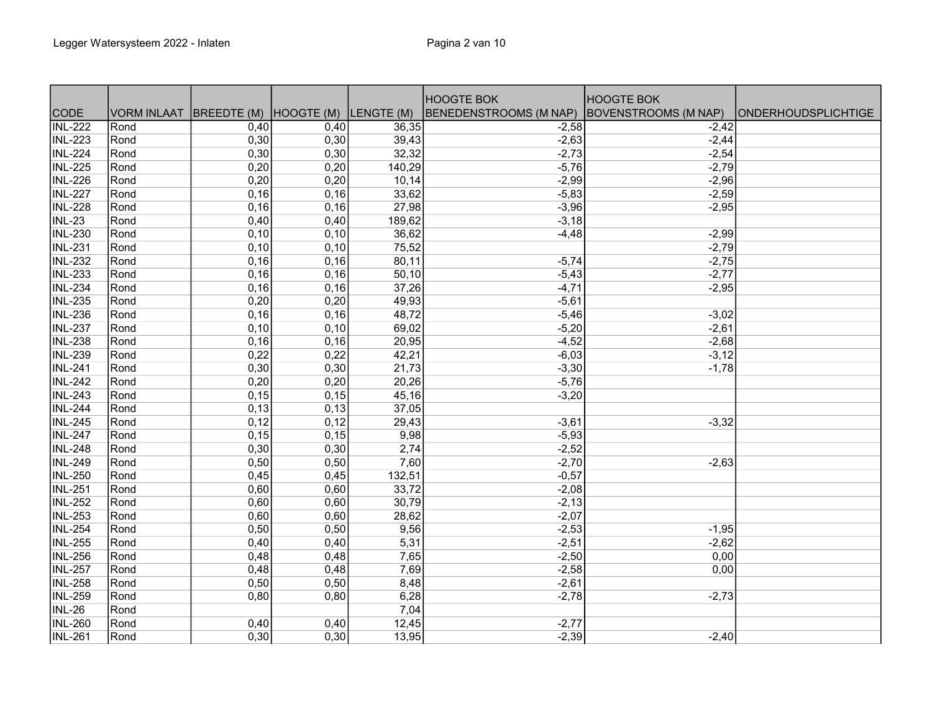|                             |             |                                   |      |        | <b>HOOGTE BOK</b>      | <b>HOOGTE BOK</b>    |                            |
|-----------------------------|-------------|-----------------------------------|------|--------|------------------------|----------------------|----------------------------|
| <b>CODE</b>                 | VORM INLAAT | BREEDTE (M) HOOGTE (M) LENGTE (M) |      |        | BENEDENSTROOMS (M NAP) | BOVENSTROOMS (M NAP) | <b>ONDERHOUDSPLICHTIGE</b> |
| $\overline{\text{INL-222}}$ | Rond        | 0,40                              | 0,40 | 36,35  | $-2,58$                | $-2,42$              |                            |
| <b>INL-223</b>              | Rond        | 0,30                              | 0,30 | 39,43  | $-2,63$                | $-2,44$              |                            |
| <b>INL-224</b>              | Rond        | 0,30                              | 0,30 | 32,32  | $-2,73$                | $-2,54$              |                            |
| <b>INL-225</b>              | Rond        | 0,20                              | 0,20 | 140,29 | $-5,76$                | $-2,79$              |                            |
| <b>INL-226</b>              | Rond        | 0,20                              | 0,20 | 10,14  | $-2,99$                | $-2,96$              |                            |
| <b>INL-227</b>              | Rond        | 0,16                              | 0,16 | 33,62  | $-5,83$                | $-2,59$              |                            |
| <b>INL-228</b>              | Rond        | 0,16                              | 0,16 | 27,98  | $-3,96$                | $-2,95$              |                            |
| <b>INL-23</b>               | Rond        | 0,40                              | 0,40 | 189,62 | $-3,18$                |                      |                            |
| <b>INL-230</b>              | Rond        | 0,10                              | 0,10 | 36,62  | $-4,48$                | $-2,99$              |                            |
| <b>INL-231</b>              | Rond        | 0,10                              | 0,10 | 75,52  |                        | $-2,79$              |                            |
| <b>INL-232</b>              | Rond        | 0,16                              | 0,16 | 80,11  | $-5,74$                | $-2,75$              |                            |
| <b>INL-233</b>              | Rond        | 0,16                              | 0,16 | 50, 10 | $-5,43$                | $-2,77$              |                            |
| <b>INL-234</b>              | Rond        | 0,16                              | 0,16 | 37,26  | $-4,71$                | $-2,95$              |                            |
| <b>INL-235</b>              | Rond        | 0,20                              | 0,20 | 49,93  | $-5,61$                |                      |                            |
| <b>INL-236</b>              | Rond        | 0,16                              | 0,16 | 48,72  | $-5,46$                | $-3,02$              |                            |
| <b>INL-237</b>              | Rond        | 0,10                              | 0,10 | 69,02  | $-5,20$                | $-2,61$              |                            |
| <b>INL-238</b>              | Rond        | 0,16                              | 0,16 | 20,95  | $-4,52$                | $-2,68$              |                            |
| <b>INL-239</b>              | Rond        | 0,22                              | 0,22 | 42,21  | $-6,03$                | $-3,12$              |                            |
| <b>INL-241</b>              | Rond        | 0,30                              | 0,30 | 21,73  | $-3,30$                | $-1,78$              |                            |
| <b>INL-242</b>              | Rond        | 0,20                              | 0,20 | 20,26  | $-5,76$                |                      |                            |
| <b>INL-243</b>              | Rond        | 0,15                              | 0,15 | 45,16  | $-3,20$                |                      |                            |
| <b>INL-244</b>              | Rond        | 0,13                              | 0,13 | 37,05  |                        |                      |                            |
| <b>INL-245</b>              | Rond        | 0,12                              | 0,12 | 29,43  | $-3,61$                | $-3,32$              |                            |
| <b>INL-247</b>              | Rond        | 0,15                              | 0,15 | 9,98   | $-5,93$                |                      |                            |
| <b>INL-248</b>              | Rond        | 0,30                              | 0,30 | 2,74   | $-2,52$                |                      |                            |
| <b>INL-249</b>              | Rond        | 0,50                              | 0,50 | 7,60   | $-2,70$                | $-2,63$              |                            |
| <b>INL-250</b>              | Rond        | 0,45                              | 0,45 | 132,51 | $-0,57$                |                      |                            |
| <b>INL-251</b>              | Rond        | 0,60                              | 0,60 | 33,72  | $-2,08$                |                      |                            |
| <b>INL-252</b>              | Rond        | 0,60                              | 0,60 | 30,79  | $-2,13$                |                      |                            |
| <b>INL-253</b>              | Rond        | 0,60                              | 0,60 | 28,62  | $-2,07$                |                      |                            |
| <b>INL-254</b>              | Rond        | 0,50                              | 0,50 | 9,56   | $-2,53$                | $-1,95$              |                            |
| <b>INL-255</b>              | Rond        | 0,40                              | 0,40 | 5,31   | $-2,51$                | $-2,62$              |                            |
| <b>INL-256</b>              | Rond        | 0,48                              | 0,48 | 7,65   | $-2,50$                | 0,00                 |                            |
| <b>INL-257</b>              | Rond        | 0,48                              | 0,48 | 7,69   | $-2,58$                | 0,00                 |                            |
| INL-258                     | Rond        | 0,50                              | 0,50 | 8,48   | $-2,61$                |                      |                            |
| INL-259                     | Rond        | 0,80                              | 0,80 | 6,28   | $-2,78$                | $-2,73$              |                            |
| <b>INL-26</b>               | Rond        |                                   |      | 7,04   |                        |                      |                            |
| <b>INL-260</b>              | Rond        | 0,40                              | 0,40 | 12,45  | $-2,77$                |                      |                            |
| <b>INL-261</b>              | Rond        | 0,30                              | 0,30 | 13,95  | $-2,39$                | $-2,40$              |                            |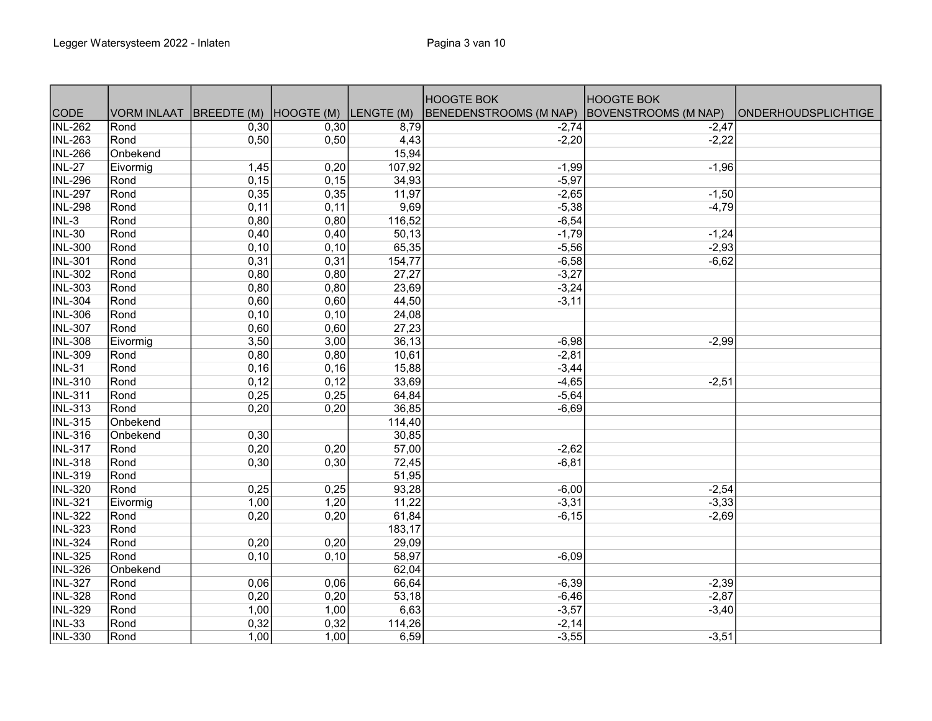|                |                    |                        |       |            | <b>HOOGTE BOK</b>             | <b>HOOGTE BOK</b>           |                            |
|----------------|--------------------|------------------------|-------|------------|-------------------------------|-----------------------------|----------------------------|
| <b>CODE</b>    | <b>VORM INLAAT</b> | BREEDTE (M) HOOGTE (M) |       | LENGTE (M) | <b>BENEDENSTROOMS (M NAP)</b> | <b>BOVENSTROOMS (M NAP)</b> | <b>ONDERHOUDSPLICHTIGE</b> |
| <b>INL-262</b> | Rond               | 0,30                   | 0,30  | 8,79       | $-2,74$                       | $-2,47$                     |                            |
| <b>INL-263</b> | Rond               | 0,50                   | 0,50  | 4,43       | $-2,20$                       | $-2,22$                     |                            |
| <b>INL-266</b> | Onbekend           |                        |       | 15,94      |                               |                             |                            |
| <b>INL-27</b>  | Eivormig           | 1,45                   | 0,20  | 107,92     | $-1,99$                       | $-1,96$                     |                            |
| <b>INL-296</b> | Rond               | 0,15                   | 0,15  | 34,93      | $-5,97$                       |                             |                            |
| <b>INL-297</b> | Rond               | 0,35                   | 0,35  | 11,97      | $-2,65$                       | $-1,50$                     |                            |
| <b>INL-298</b> | Rond               | 0,11                   | 0,11  | 9,69       | $-5,38$                       | $-4,79$                     |                            |
| $INL-3$        | Rond               | 0,80                   | 0,80  | 116,52     | $-6,54$                       |                             |                            |
| <b>INL-30</b>  | Rond               | 0,40                   | 0,40  | 50, 13     | $-1,79$                       | $-1,24$                     |                            |
| <b>INL-300</b> | Rond               | 0,10                   | 0,10  | 65,35      | $-5,56$                       | $-2,93$                     |                            |
| <b>INL-301</b> | Rond               | 0,31                   | 0,31  | 154,77     | $-6,58$                       | $-6,62$                     |                            |
| <b>INL-302</b> | Rond               | 0,80                   | 0,80  | 27,27      | $-3,27$                       |                             |                            |
| <b>INL-303</b> | Rond               | 0,80                   | 0,80  | 23,69      | $-3,24$                       |                             |                            |
| <b>INL-304</b> | Rond               | 0,60                   | 0,60  | 44,50      | $-3,11$                       |                             |                            |
| <b>INL-306</b> | Rond               | 0,10                   | 0,10  | 24,08      |                               |                             |                            |
| <b>INL-307</b> | Rond               | 0,60                   | 0,60  | 27,23      |                               |                             |                            |
| <b>INL-308</b> | Eivormig           | 3,50                   | 3,00  | 36,13      | $-6,98$                       | $-2,99$                     |                            |
| <b>INL-309</b> | Rond               | 0,80                   | 0,80  | 10,61      | $-2,81$                       |                             |                            |
| <b>INL-31</b>  | Rond               | 0,16                   | 0, 16 | 15,88      | $-3,44$                       |                             |                            |
| <b>INL-310</b> | Rond               | 0,12                   | 0,12  | 33,69      | $-4,65$                       | $-2,51$                     |                            |
| <b>INL-311</b> | Rond               | 0,25                   | 0,25  | 64,84      | $-5,64$                       |                             |                            |
| <b>INL-313</b> | Rond               | 0,20                   | 0,20  | 36,85      | $-6,69$                       |                             |                            |
| <b>INL-315</b> | Onbekend           |                        |       | 114,40     |                               |                             |                            |
| <b>INL-316</b> | Onbekend           | 0,30                   |       | 30,85      |                               |                             |                            |
| <b>INL-317</b> | Rond               | 0,20                   | 0,20  | 57,00      | $-2,62$                       |                             |                            |
| <b>INL-318</b> | Rond               | 0,30                   | 0,30  | 72,45      | $-6, 81$                      |                             |                            |
| <b>INL-319</b> | Rond               |                        |       | 51,95      |                               |                             |                            |
| <b>INL-320</b> | Rond               | 0,25                   | 0,25  | 93,28      | $-6,00$                       | $-2,54$                     |                            |
| <b>INL-321</b> | Eivormig           | 1,00                   | 1,20  | 11,22      | $-3,31$                       | $-3,33$                     |                            |
| <b>INL-322</b> | Rond               | 0,20                   | 0,20  | 61,84      | $-6,15$                       | $-2,69$                     |                            |
| <b>INL-323</b> | Rond               |                        |       | 183,17     |                               |                             |                            |
| <b>INL-324</b> | Rond               | 0,20                   | 0,20  | 29,09      |                               |                             |                            |
| <b>INL-325</b> | Rond               | 0,10                   | 0,10  | 58,97      | $-6,09$                       |                             |                            |
| <b>INL-326</b> | Onbekend           |                        |       | 62,04      |                               |                             |                            |
| <b>INL-327</b> | Rond               | 0,06                   | 0,06  | 66,64      | $-6,39$                       | $-2,39$                     |                            |
| <b>INL-328</b> | Rond               | 0,20                   | 0,20  | 53,18      | $-6,46$                       | $-2,87$                     |                            |
| <b>INL-329</b> | Rond               | 1,00                   | 1,00  | 6,63       | $-3,57$                       | $-3,40$                     |                            |
| <b>INL-33</b>  | Rond               | 0,32                   | 0,32  | 114,26     | $-2,14$                       |                             |                            |
| <b>INL-330</b> | Rond               | 1,00                   | 1,00  | 6,59       | $-3,55$                       | $-3,51$                     |                            |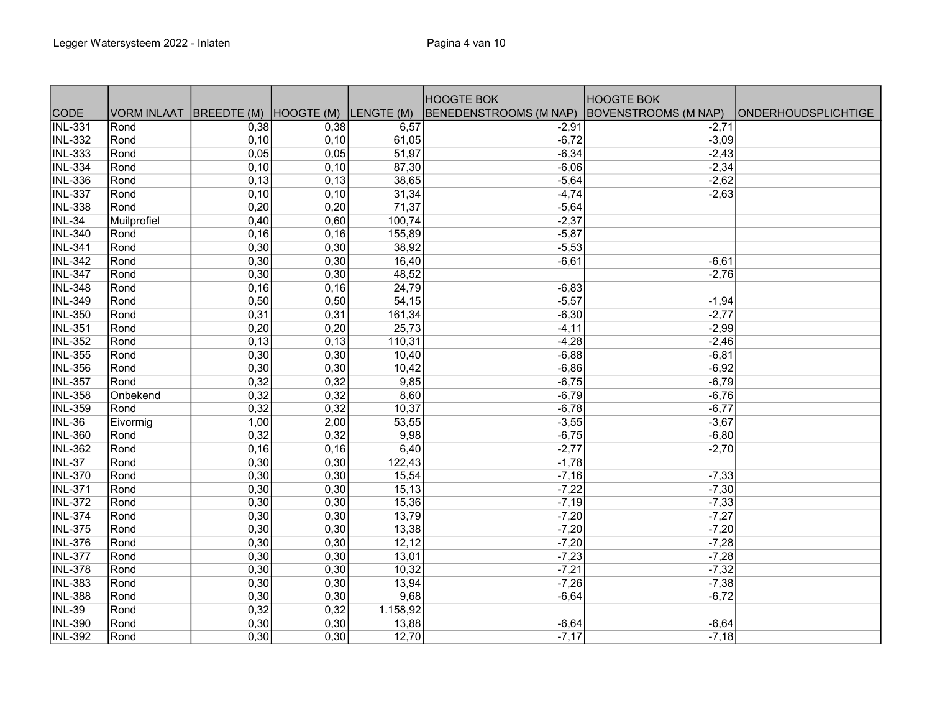|                             |                    |                                   |      |          | <b>HOOGTE BOK</b>      | <b>HOOGTE BOK</b>    |                            |
|-----------------------------|--------------------|-----------------------------------|------|----------|------------------------|----------------------|----------------------------|
| <b>CODE</b>                 | <b>VORM INLAAT</b> | BREEDTE (M) HOOGTE (M) LENGTE (M) |      |          | BENEDENSTROOMS (M NAP) | BOVENSTROOMS (M NAP) | <b>ONDERHOUDSPLICHTIGE</b> |
| $\overline{\text{INL-331}}$ | Rond               | 0,38                              | 0,38 | 6,57     | $-2,91$                | $-2,71$              |                            |
| <b>INL-332</b>              | Rond               | 0,10                              | 0,10 | 61,05    | $-6,72$                | $-3,09$              |                            |
| <b>INL-333</b>              | Rond               | 0,05                              | 0,05 | 51,97    | $-6,34$                | $-2,43$              |                            |
| <b>INL-334</b>              | Rond               | 0,10                              | 0,10 | 87,30    | $-6,06$                | $-2,34$              |                            |
| <b>INL-336</b>              | Rond               | 0,13                              | 0,13 | 38,65    | $-5,64$                | $-2,62$              |                            |
| <b>INL-337</b>              | Rond               | 0,10                              | 0,10 | 31,34    | $-4,74$                | $-2,63$              |                            |
| <b>INL-338</b>              | Rond               | 0,20                              | 0,20 | 71,37    | $-5,64$                |                      |                            |
| <b>INL-34</b>               | Muilprofiel        | 0,40                              | 0,60 | 100,74   | $-2,37$                |                      |                            |
| <b>INL-340</b>              | Rond               | 0,16                              | 0,16 | 155,89   | $-5,87$                |                      |                            |
| <b>INL-341</b>              | Rond               | 0,30                              | 0,30 | 38,92    | $-5,53$                |                      |                            |
| <b>INL-342</b>              | Rond               | 0,30                              | 0,30 | 16,40    | $-6,61$                | $-6,61$              |                            |
| <b>INL-347</b>              | Rond               | 0,30                              | 0,30 | 48,52    |                        | $-2,76$              |                            |
| <b>INL-348</b>              | Rond               | 0,16                              | 0,16 | 24,79    | $-6,83$                |                      |                            |
| <b>INL-349</b>              | Rond               | 0,50                              | 0,50 | 54,15    | $-5,57$                | $-1,94$              |                            |
| <b>INL-350</b>              | Rond               | 0,31                              | 0,31 | 161,34   | $-6,30$                | $-2,77$              |                            |
| <b>INL-351</b>              | Rond               | 0,20                              | 0,20 | 25,73    | $-4, 11$               | $-2,99$              |                            |
| <b>INL-352</b>              | Rond               | 0, 13                             | 0,13 | 110,31   | $-4,28$                | $-2,46$              |                            |
| <b>INL-355</b>              | Rond               | 0,30                              | 0,30 | 10,40    | $-6,88$                | $-6, 81$             |                            |
| <b>INL-356</b>              | Rond               | 0,30                              | 0,30 | 10,42    | $-6,86$                | $-6,92$              |                            |
| <b>INL-357</b>              | Rond               | 0,32                              | 0,32 | 9,85     | $-6,75$                | $-6,79$              |                            |
| <b>INL-358</b>              | Onbekend           | 0,32                              | 0,32 | 8,60     | $-6,79$                | $-6,76$              |                            |
| <b>INL-359</b>              | Rond               | 0,32                              | 0,32 | 10,37    | $-6,78$                | $-6,77$              |                            |
| $INL-36$                    | Eivormig           | 1,00                              | 2,00 | 53,55    | $-3,55$                | $-3,67$              |                            |
| <b>INL-360</b>              | Rond               | 0,32                              | 0,32 | 9,98     | $-6,75$                | $-6,80$              |                            |
| <b>INL-362</b>              | Rond               | 0,16                              | 0,16 | 6,40     | $-2,77$                | $-2,70$              |                            |
| <b>INL-37</b>               | Rond               | 0,30                              | 0,30 | 122,43   | $-1,78$                |                      |                            |
| <b>INL-370</b>              | Rond               | 0,30                              | 0,30 | 15,54    | $-7,16$                | $-7,33$              |                            |
| <b>INL-371</b>              | Rond               | 0,30                              | 0,30 | 15,13    | $-7,22$                | $-7,30$              |                            |
| <b>INL-372</b>              | Rond               | 0,30                              | 0,30 | 15,36    | $-7,19$                | $-7,33$              |                            |
| <b>INL-374</b>              | Rond               | 0,30                              | 0,30 | 13,79    | $-7,20$                | $-7,27$              |                            |
| <b>INL-375</b>              | Rond               | 0,30                              | 0,30 | 13,38    | $-7,20$                | $-7,20$              |                            |
| <b>INL-376</b>              | Rond               | 0,30                              | 0,30 | 12,12    | $-7,20$                | $-7,28$              |                            |
| <b>INL-377</b>              | Rond               | 0,30                              | 0,30 | 13,01    | $-7,23$                | $-7,28$              |                            |
| <b>INL-378</b>              | Rond               | 0,30                              | 0,30 | 10,32    | $-7,21$                | $-7,32$              |                            |
| <b>INL-383</b>              | Rond               | 0,30                              | 0,30 | 13,94    | $-7,26$                | $-7,38$              |                            |
| <b>INL-388</b>              | Rond               | 0,30                              | 0,30 | 9,68     | $-6,64$                | $-6,72$              |                            |
| <b>INL-39</b>               | Rond               | 0,32                              | 0,32 | 1.158,92 |                        |                      |                            |
| INL-390                     | Rond               | 0,30                              | 0,30 | 13,88    | $-6,64$                | $-6,64$              |                            |
| <b>INL-392</b>              | Rond               | 0,30                              | 0,30 | 12,70    | $-7,17$                | $-7,18$              |                            |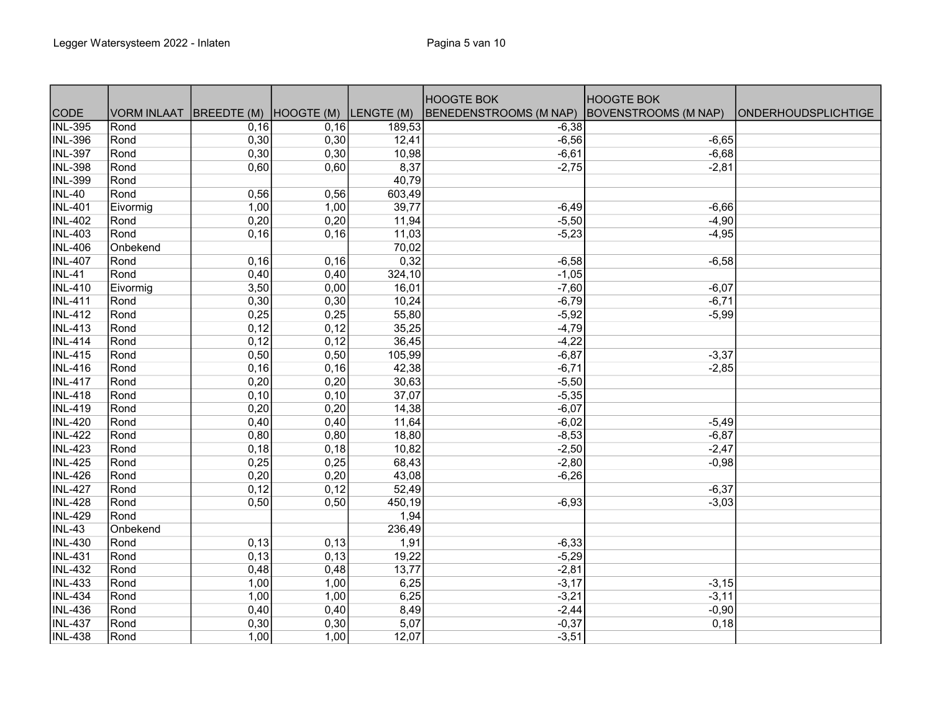|                |                    |                        |      |            | <b>HOOGTE BOK</b>      | <b>HOOGTE BOK</b>           |                            |
|----------------|--------------------|------------------------|------|------------|------------------------|-----------------------------|----------------------------|
| <b>CODE</b>    | <b>VORM INLAAT</b> | BREEDTE (M) HOOGTE (M) |      | LENGTE (M) | BENEDENSTROOMS (M NAP) | <b>BOVENSTROOMS (M NAP)</b> | <b>ONDERHOUDSPLICHTIGE</b> |
| <b>INL-395</b> | Rond               | 0,16                   | 0,16 | 189,53     | $-6,38$                |                             |                            |
| <b>INL-396</b> | Rond               | 0,30                   | 0,30 | 12,41      | $-6,56$                | $-6,65$                     |                            |
| <b>INL-397</b> | Rond               | 0,30                   | 0,30 | 10,98      | $-6,61$                | $-6,68$                     |                            |
| <b>INL-398</b> | Rond               | 0,60                   | 0,60 | 8,37       | $-2,75$                | $-2,81$                     |                            |
| <b>INL-399</b> | Rond               |                        |      | 40,79      |                        |                             |                            |
| <b>INL-40</b>  | Rond               | 0,56                   | 0,56 | 603,49     |                        |                             |                            |
| <b>INL-401</b> | Eivormig           | 1,00                   | 1,00 | 39,77      | $-6,49$                | $-6,66$                     |                            |
| <b>INL-402</b> | Rond               | 0,20                   | 0,20 | 11,94      | $-5,50$                | $-4,90$                     |                            |
| <b>INL-403</b> | Rond               | 0,16                   | 0,16 | 11,03      | $-5,23$                | $-4,95$                     |                            |
| <b>INL-406</b> | Onbekend           |                        |      | 70,02      |                        |                             |                            |
| <b>INL-407</b> | Rond               | 0,16                   | 0,16 | 0,32       | $-6,58$                | $-6,58$                     |                            |
| <b>INL-41</b>  | Rond               | 0,40                   | 0,40 | 324,10     | $-1,05$                |                             |                            |
| <b>INL-410</b> | Eivormig           | 3,50                   | 0,00 | 16,01      | $-7,60$                | $-6,07$                     |                            |
| <b>INL-411</b> | Rond               | 0,30                   | 0,30 | 10,24      | $-6,79$                | $-6,71$                     |                            |
| <b>INL-412</b> | Rond               | 0,25                   | 0,25 | 55,80      | $-5,92$                | $-5,99$                     |                            |
| <b>INL-413</b> | Rond               | 0,12                   | 0,12 | 35,25      | $-4,79$                |                             |                            |
| <b>INL-414</b> | Rond               | 0,12                   | 0,12 | 36,45      | $-4,22$                |                             |                            |
| <b>INL-415</b> | Rond               | 0,50                   | 0,50 | 105,99     | $-6,87$                | $-3,37$                     |                            |
| <b>INL-416</b> | Rond               | 0,16                   | 0,16 | 42,38      | $-6,71$                | $-2,85$                     |                            |
| <b>INL-417</b> | Rond               | 0,20                   | 0,20 | 30,63      | $-5,50$                |                             |                            |
| <b>INL-418</b> | Rond               | 0,10                   | 0,10 | 37,07      | $-5,35$                |                             |                            |
| <b>INL-419</b> | Rond               | 0,20                   | 0,20 | 14,38      | $-6,07$                |                             |                            |
| <b>INL-420</b> | Rond               | 0,40                   | 0,40 | 11,64      | $-6,02$                | $-5,49$                     |                            |
| <b>INL-422</b> | Rond               | 0,80                   | 0,80 | 18,80      | $-8,53$                | $-6,87$                     |                            |
| <b>INL-423</b> | Rond               | 0,18                   | 0,18 | 10,82      | $-2,50$                | $-2,47$                     |                            |
| <b>INL-425</b> | Rond               | 0,25                   | 0,25 | 68,43      | $-2,80$                | $-0,98$                     |                            |
| <b>INL-426</b> | Rond               | 0,20                   | 0,20 | 43,08      | $-6,26$                |                             |                            |
| <b>INL-427</b> | Rond               | 0,12                   | 0,12 | 52,49      |                        | $-6,37$                     |                            |
| <b>INL-428</b> | Rond               | 0,50                   | 0,50 | 450,19     | $-6,93$                | $-3,03$                     |                            |
| <b>INL-429</b> | Rond               |                        |      | 1,94       |                        |                             |                            |
| <b>INL-43</b>  | Onbekend           |                        |      | 236,49     |                        |                             |                            |
| <b>INL-430</b> | Rond               | 0,13                   | 0,13 | 1,91       | $-6,33$                |                             |                            |
| <b>INL-431</b> | Rond               | 0,13                   | 0,13 | 19,22      | $-5,29$                |                             |                            |
| <b>INL-432</b> | Rond               | 0,48                   | 0,48 | 13,77      | $-2,81$                |                             |                            |
| <b>INL-433</b> | Rond               | 1,00                   | 1,00 | 6,25       | $-3,17$                | $-3,15$                     |                            |
| <b>INL-434</b> | Rond               | 1,00                   | 1,00 | 6,25       | $-3,21$                | $-3,11$                     |                            |
| <b>INL-436</b> | Rond               | 0,40                   | 0,40 | 8,49       | $-2,44$                | $-0,90$                     |                            |
| <b>INL-437</b> | Rond               | 0,30                   | 0,30 | 5,07       | $-0,37$                | 0,18                        |                            |
| <b>INL-438</b> | Rond               | 1,00                   | 1,00 | 12,07      | $-3,51$                |                             |                            |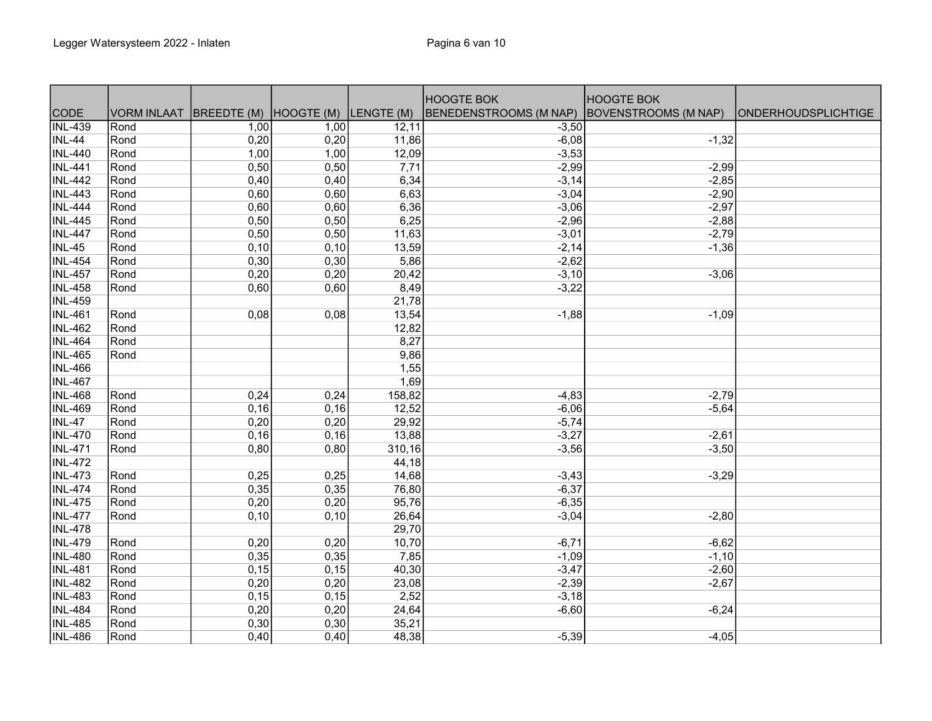|                |                    |             |            |            | <b>HOOGTE BOK</b>      | <b>HOOGTE BOK</b>    |                            |
|----------------|--------------------|-------------|------------|------------|------------------------|----------------------|----------------------------|
| <b>CODE</b>    | <b>VORM INLAAT</b> | BREEDTE (M) | HOOGTE (M) | LENGTE (M) | BENEDENSTROOMS (M NAP) | BOVENSTROOMS (M NAP) | <b>ONDERHOUDSPLICHTIGE</b> |
| <b>INL-439</b> | Rond               | 1,00        | 1,00       | 12,11      | $-3,50$                |                      |                            |
| $INL-44$       | Rond               | 0,20        | 0,20       | 11,86      | $-6,08$                | $-1,32$              |                            |
| <b>INL-440</b> | Rond               | 1,00        | 1,00       | 12,09      | $-3,53$                |                      |                            |
| <b>INL-441</b> | Rond               | 0,50        | 0,50       | 7,71       | $-2,99$                | $-2,99$              |                            |
| <b>INL-442</b> | Rond               | 0,40        | 0,40       | 6,34       | $-3,14$                | $-2,85$              |                            |
| <b>INL-443</b> | Rond               | 0,60        | 0,60       | 6,63       | $-3,04$                | $-2,90$              |                            |
| <b>INL-444</b> | Rond               | 0,60        | 0,60       | 6,36       | $-3,06$                | $-2,97$              |                            |
| <b>INL-445</b> | Rond               | 0,50        | 0,50       | 6,25       | $-2,96$                | $-2,88$              |                            |
| <b>INL-447</b> | Rond               | 0,50        | 0,50       | 11,63      | $-3,01$                | $-2,79$              |                            |
| <b>INL-45</b>  | Rond               | 0,10        | 0,10       | 13,59      | $-2,14$                | $-1,36$              |                            |
| <b>INL-454</b> | Rond               | 0,30        | 0,30       | 5,86       | $-2,62$                |                      |                            |
| <b>INL-457</b> | Rond               | 0,20        | 0,20       | 20,42      | $-3,10$                | $-3,06$              |                            |
| <b>INL-458</b> | Rond               | 0,60        | 0,60       | 8,49       | $-3,22$                |                      |                            |
| <b>INL-459</b> |                    |             |            | 21,78      |                        |                      |                            |
| <b>INL-461</b> | Rond               | 0,08        | 0,08       | 13,54      | $-1,88$                | $-1,09$              |                            |
| <b>INL-462</b> | Rond               |             |            | 12,82      |                        |                      |                            |
| <b>INL-464</b> | Rond               |             |            | 8,27       |                        |                      |                            |
| <b>INL-465</b> | Rond               |             |            | 9,86       |                        |                      |                            |
| <b>INL-466</b> |                    |             |            | 1,55       |                        |                      |                            |
| <b>INL-467</b> |                    |             |            | 1,69       |                        |                      |                            |
| <b>INL-468</b> | Rond               | 0,24        | 0,24       | 158,82     | $-4,83$                | $-2,79$              |                            |
| <b>INL-469</b> | Rond               | 0,16        | 0,16       | 12,52      | $-6,06$                | $-5,64$              |                            |
| <b>INL-47</b>  | Rond               | 0,20        | 0,20       | 29,92      | $-5,74$                |                      |                            |
| <b>INL-470</b> | Rond               | 0,16        | 0,16       | 13,88      | $-3,27$                | $-2,61$              |                            |
| <b>INL-471</b> | Rond               | 0,80        | 0,80       | 310,16     | $-3,56$                | $-3,50$              |                            |
| <b>INL-472</b> |                    |             |            | 44,18      |                        |                      |                            |
| <b>INL-473</b> | Rond               | 0,25        | 0,25       | 14,68      | $-3,43$                | $-3,29$              |                            |
| <b>INL-474</b> | Rond               | 0,35        | 0,35       | 76,80      | $-6,37$                |                      |                            |
| <b>INL-475</b> | Rond               | 0,20        | 0,20       | 95,76      | $-6,35$                |                      |                            |
| <b>INL-477</b> | Rond               | 0,10        | 0,10       | 26,64      | $-3,04$                | $-2,80$              |                            |
| <b>INL-478</b> |                    |             |            | 29,70      |                        |                      |                            |
| <b>INL-479</b> | Rond               | 0,20        | 0,20       | 10,70      | $-6,71$                | $-6,62$              |                            |
| <b>INL-480</b> | Rond               | 0,35        | 0,35       | 7,85       | $-1,09$                | $-1,10$              |                            |
| <b>INL-481</b> | Rond               | 0,15        | 0,15       | 40,30      | $-3,47$                | $-2,60$              |                            |
| <b>INL-482</b> | Rond               | 0,20        | 0,20       | 23,08      | $-2,39$                | $-2,67$              |                            |
| <b>INL-483</b> | Rond               | 0,15        | 0,15       | 2,52       | $-3,18$                |                      |                            |
| <b>INL-484</b> | Rond               | 0,20        | 0,20       | 24,64      | $-6,60$                | $-6,24$              |                            |
| <b>INL-485</b> | Rond               | 0,30        | 0,30       | 35,21      |                        |                      |                            |
| <b>INL-486</b> | Rond               | 0,40        | 0,40       | 48,38      | $-5,39$                | $-4,05$              |                            |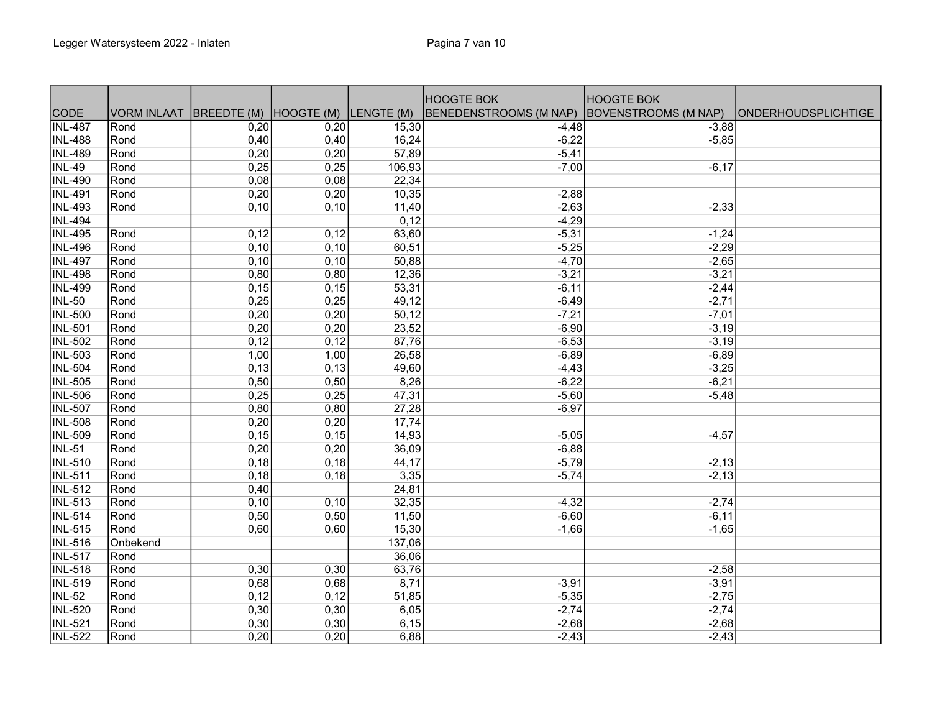|                |                    |                                   |      |        | <b>HOOGTE BOK</b>      | <b>HOOGTE BOK</b>           |                            |
|----------------|--------------------|-----------------------------------|------|--------|------------------------|-----------------------------|----------------------------|
| <b>CODE</b>    | <b>VORM INLAAT</b> | BREEDTE (M) HOOGTE (M) LENGTE (M) |      |        | BENEDENSTROOMS (M NAP) | <b>BOVENSTROOMS (M NAP)</b> | <b>ONDERHOUDSPLICHTIGE</b> |
| <b>INL-487</b> | Rond               | 0,20                              | 0,20 | 15,30  | $-4,48$                | $-3,88$                     |                            |
| <b>INL-488</b> | Rond               | 0,40                              | 0,40 | 16,24  | $-6,22$                | $-5,85$                     |                            |
| <b>INL-489</b> | Rond               | 0,20                              | 0,20 | 57,89  | $-5,41$                |                             |                            |
| <b>INL-49</b>  | Rond               | 0,25                              | 0,25 | 106,93 | $-7,00$                | $-6,17$                     |                            |
| <b>INL-490</b> | Rond               | 0,08                              | 0,08 | 22,34  |                        |                             |                            |
| <b>INL-491</b> | Rond               | 0,20                              | 0,20 | 10,35  | $-2,88$                |                             |                            |
| <b>INL-493</b> | Rond               | 0,10                              | 0,10 | 11,40  | $-2,63$                | $-2,33$                     |                            |
| <b>INL-494</b> |                    |                                   |      | 0,12   | $-4,29$                |                             |                            |
| <b>INL-495</b> | Rond               | 0,12                              | 0,12 | 63,60  | $-5,31$                | $-1,24$                     |                            |
| <b>INL-496</b> | Rond               | 0,10                              | 0,10 | 60,51  | $-5,25$                | $-2,29$                     |                            |
| <b>INL-497</b> | Rond               | 0,10                              | 0,10 | 50,88  | $-4,70$                | $-2,65$                     |                            |
| <b>INL-498</b> | Rond               | 0,80                              | 0,80 | 12,36  | $-3,21$                | $-3,21$                     |                            |
| <b>INL-499</b> | Rond               | 0,15                              | 0,15 | 53,31  | $-6, 11$               | $-2,44$                     |                            |
| <b>INL-50</b>  | Rond               | 0,25                              | 0,25 | 49,12  | $-6,49$                | $-2,71$                     |                            |
| <b>INL-500</b> | Rond               | 0,20                              | 0,20 | 50,12  | $-7,21$                | $-7,01$                     |                            |
| <b>INL-501</b> | Rond               | 0,20                              | 0,20 | 23,52  | $-6,90$                | $-3,19$                     |                            |
| <b>INL-502</b> | Rond               | 0,12                              | 0,12 | 87,76  | $-6,53$                | $-3,19$                     |                            |
| <b>INL-503</b> | Rond               | 1,00                              | 1,00 | 26,58  | $-6,89$                | $-6,89$                     |                            |
| <b>INL-504</b> | Rond               | 0,13                              | 0,13 | 49,60  | $-4,43$                | $-3,25$                     |                            |
| <b>INL-505</b> | Rond               | 0,50                              | 0,50 | 8,26   | $-6,22$                | $-6,21$                     |                            |
| <b>INL-506</b> | Rond               | 0,25                              | 0,25 | 47,31  | $-5,60$                | $-5,48$                     |                            |
| <b>INL-507</b> | Rond               | 0,80                              | 0,80 | 27,28  | $-6,97$                |                             |                            |
| <b>INL-508</b> | Rond               | 0,20                              | 0,20 | 17,74  |                        |                             |                            |
| <b>INL-509</b> | Rond               | 0,15                              | 0,15 | 14,93  | $-5,05$                | $-4,57$                     |                            |
| <b>INL-51</b>  | Rond               | 0,20                              | 0,20 | 36,09  | $-6,88$                |                             |                            |
| <b>INL-510</b> | Rond               | 0,18                              | 0,18 | 44,17  | $-5,79$                | $-2,13$                     |                            |
| <b>INL-511</b> | Rond               | 0,18                              | 0,18 | 3,35   | $-5,74$                | $-2,13$                     |                            |
| <b>INL-512</b> | Rond               | 0,40                              |      | 24,81  |                        |                             |                            |
| <b>INL-513</b> | Rond               | 0,10                              | 0,10 | 32,35  | $-4,32$                | $-2,74$                     |                            |
| <b>INL-514</b> | Rond               | 0,50                              | 0,50 | 11,50  | $-6,60$                | $-6,11$                     |                            |
| <b>INL-515</b> | Rond               | 0,60                              | 0,60 | 15,30  | $-1,66$                | $-1,65$                     |                            |
| <b>INL-516</b> | Onbekend           |                                   |      | 137,06 |                        |                             |                            |
| <b>INL-517</b> | Rond               |                                   |      | 36,06  |                        |                             |                            |
| <b>INL-518</b> | Rond               | 0,30                              | 0,30 | 63,76  |                        | $-2,58$                     |                            |
| <b>INL-519</b> | Rond               | 0,68                              | 0,68 | 8,71   | $-3,91$                | $-3,91$                     |                            |
| <b>INL-52</b>  | Rond               | 0,12                              | 0,12 | 51,85  | $-5,35$                | $-2,75$                     |                            |
| <b>INL-520</b> | Rond               | 0,30                              | 0,30 | 6,05   | $-2,74$                | $-2,74$                     |                            |
| <b>INL-521</b> | Rond               | 0,30                              | 0,30 | 6,15   | $-2,68$                | $-2,68$                     |                            |
| <b>INL-522</b> | Rond               | 0,20                              | 0,20 | 6,88   | $-2,43$                | $-2,43$                     |                            |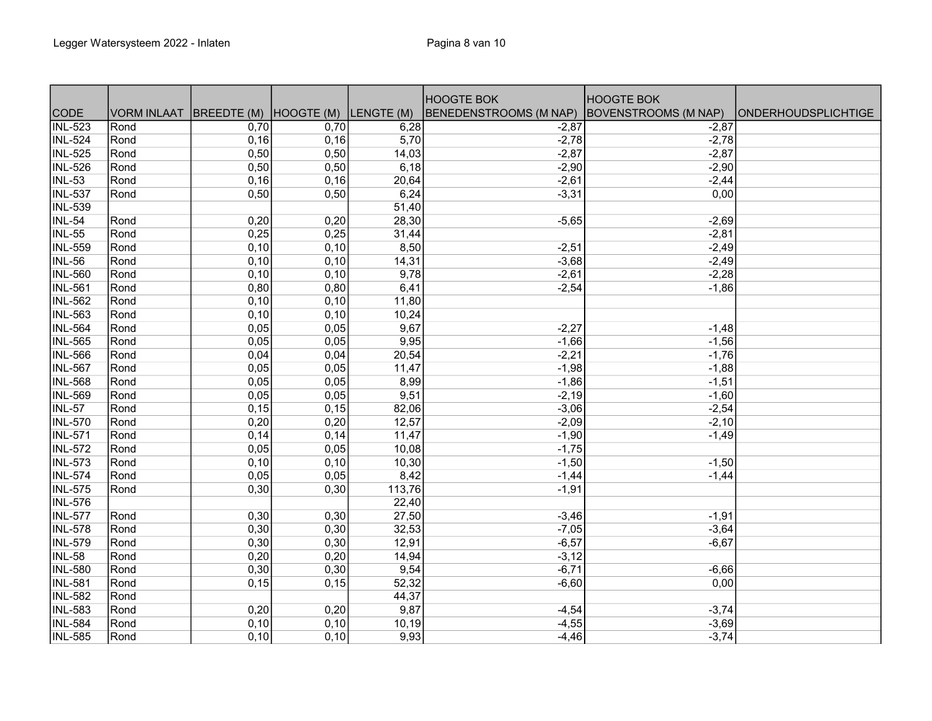|                |                    |                        |       |            | <b>HOOGTE BOK</b>      | <b>HOOGTE BOK</b>           |                            |
|----------------|--------------------|------------------------|-------|------------|------------------------|-----------------------------|----------------------------|
| <b>CODE</b>    | <b>VORM INLAAT</b> | BREEDTE (M) HOOGTE (M) |       | LENGTE (M) | BENEDENSTROOMS (M NAP) | <b>BOVENSTROOMS (M NAP)</b> | <b>ONDERHOUDSPLICHTIGE</b> |
| <b>INL-523</b> | Rond               | 0,70                   | 0,70  | 6,28       | $-2,87$                | $-2,87$                     |                            |
| <b>INL-524</b> | Rond               | 0,16                   | 0, 16 | 5,70       | $-2,78$                | $-2,78$                     |                            |
| <b>INL-525</b> | Rond               | 0,50                   | 0,50  | 14,03      | $-2,87$                | $-2,87$                     |                            |
| <b>INL-526</b> | Rond               | 0,50                   | 0,50  | 6,18       | $-2,90$                | $-2,90$                     |                            |
| <b>INL-53</b>  | Rond               | 0,16                   | 0,16  | 20,64      | $-2,61$                | $-2,44$                     |                            |
| <b>INL-537</b> | Rond               | 0,50                   | 0,50  | 6,24       | $-3,31$                | 0,00                        |                            |
| <b>INL-539</b> |                    |                        |       | 51,40      |                        |                             |                            |
| INL-54         | Rond               | 0,20                   | 0,20  | 28,30      | $-5,65$                | $-2,69$                     |                            |
| <b>INL-55</b>  | Rond               | 0,25                   | 0,25  | 31,44      |                        | $-2,81$                     |                            |
| <b>INL-559</b> | Rond               | 0,10                   | 0,10  | 8,50       | $-2,51$                | $-2,49$                     |                            |
| <b>INL-56</b>  | Rond               | 0,10                   | 0,10  | 14,31      | $-3,68$                | $-2,49$                     |                            |
| <b>INL-560</b> | Rond               | 0,10                   | 0,10  | 9,78       | $-2,61$                | $-2,28$                     |                            |
| <b>INL-561</b> | Rond               | 0,80                   | 0,80  | 6,41       | $-2,54$                | $-1,86$                     |                            |
| <b>INL-562</b> | Rond               | 0,10                   | 0,10  | 11,80      |                        |                             |                            |
| <b>INL-563</b> | Rond               | 0,10                   | 0,10  | 10,24      |                        |                             |                            |
| <b>INL-564</b> | Rond               | 0,05                   | 0,05  | 9,67       | $-2,27$                | $-1,48$                     |                            |
| <b>INL-565</b> | Rond               | 0,05                   | 0,05  | 9,95       | $-1,66$                | $-1,56$                     |                            |
| <b>INL-566</b> | Rond               | 0,04                   | 0,04  | 20,54      | $-2,21$                | $-1,76$                     |                            |
| <b>INL-567</b> | Rond               | 0,05                   | 0,05  | 11,47      | $-1,98$                | $-1,88$                     |                            |
| <b>INL-568</b> | Rond               | 0,05                   | 0,05  | 8,99       | $-1,86$                | $-1,51$                     |                            |
| <b>INL-569</b> | Rond               | 0,05                   | 0,05  | 9,51       | $-2,19$                | $-1,60$                     |                            |
| <b>INL-57</b>  | Rond               | 0,15                   | 0,15  | 82,06      | $-3,06$                | $-2,54$                     |                            |
| <b>INL-570</b> | Rond               | 0,20                   | 0,20  | 12,57      | $-2,09$                | $-2,10$                     |                            |
| <b>INL-571</b> | Rond               | 0,14                   | 0,14  | 11,47      | $-1,90$                | $-1,49$                     |                            |
| <b>INL-572</b> | Rond               | 0,05                   | 0,05  | 10,08      | $-1,75$                |                             |                            |
| <b>INL-573</b> | Rond               | 0,10                   | 0,10  | 10,30      | $-1,50$                | $-1,50$                     |                            |
| <b>INL-574</b> | Rond               | 0,05                   | 0,05  | 8,42       | $-1,44$                | $-1,44$                     |                            |
| <b>INL-575</b> | Rond               | 0,30                   | 0,30  | 113,76     | $-1,91$                |                             |                            |
| <b>INL-576</b> |                    |                        |       | 22,40      |                        |                             |                            |
| <b>INL-577</b> | Rond               | 0,30                   | 0,30  | 27,50      | $-3,46$                | $-1,91$                     |                            |
| <b>INL-578</b> | Rond               | 0,30                   | 0,30  | 32,53      | $-7,05$                | $-3,64$                     |                            |
| <b>INL-579</b> | Rond               | 0,30                   | 0,30  | 12,91      | $-6,57$                | $-6,67$                     |                            |
| <b>INL-58</b>  | Rond               | 0,20                   | 0,20  | 14,94      | $-3,12$                |                             |                            |
| <b>INL-580</b> | Rond               | 0,30                   | 0,30  | 9,54       | $-6,71$                | $-6,66$                     |                            |
| <b>INL-581</b> | Rond               | 0,15                   | 0,15  | 52,32      | $-6,60$                | 0,00                        |                            |
| INL-582        | Rond               |                        |       | 44,37      |                        |                             |                            |
| <b>INL-583</b> | Rond               | 0,20                   | 0,20  | 9,87       | $-4,54$                | $-3,74$                     |                            |
| <b>INL-584</b> | Rond               | 0,10                   | 0,10  | 10,19      | $-4,55$                | $-3,69$                     |                            |
| <b>INL-585</b> | Rond               | 0,10                   | 0,10  | 9,93       | $-4,46$                | $-3,74$                     |                            |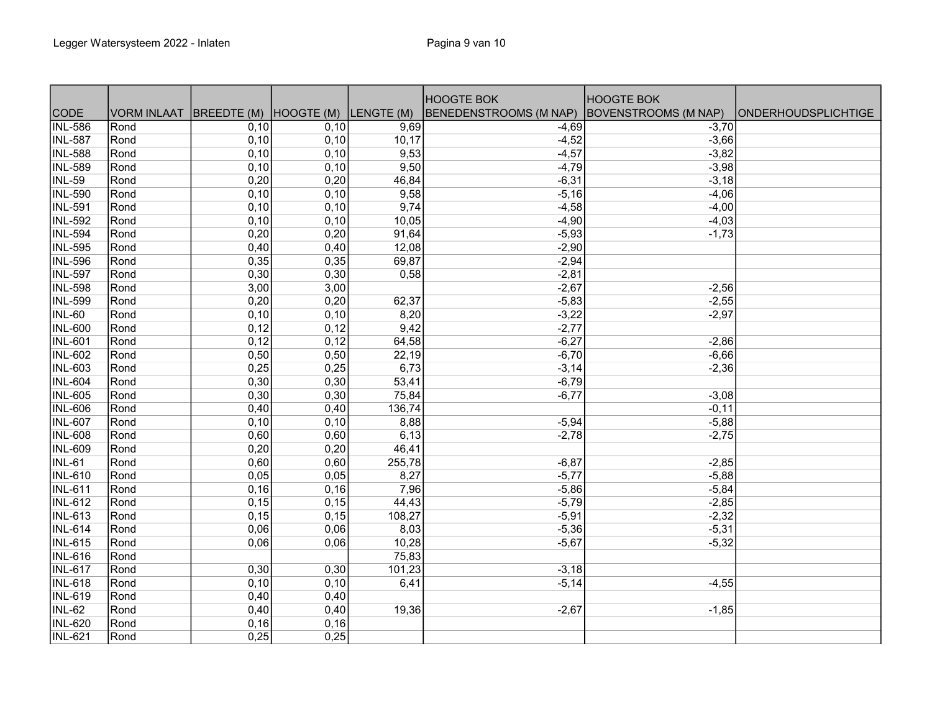|                |                                               |      |      |        | <b>HOOGTE BOK</b>      | <b>HOOGTE BOK</b>    |                            |
|----------------|-----------------------------------------------|------|------|--------|------------------------|----------------------|----------------------------|
| CODE           | VORM INLAAT BREEDTE (M) HOOGTE (M) LENGTE (M) |      |      |        | BENEDENSTROOMS (M NAP) | BOVENSTROOMS (M NAP) | <b>ONDERHOUDSPLICHTIGE</b> |
| <b>INL-586</b> | <b>Rond</b>                                   | 0,10 | 0,10 | 9,69   | $-4,69$                | $-3,70$              |                            |
| <b>INL-587</b> | Rond                                          | 0,10 | 0,10 | 10,17  | $-4,52$                | $-3,66$              |                            |
| <b>INL-588</b> | Rond                                          | 0,10 | 0,10 | 9,53   | $-4,57$                | $-3,82$              |                            |
| <b>INL-589</b> | Rond                                          | 0,10 | 0,10 | 9,50   | $-4,79$                | $-3,98$              |                            |
| <b>INL-59</b>  | Rond                                          | 0,20 | 0,20 | 46,84  | $-6,31$                | $-3,18$              |                            |
| <b>INL-590</b> | Rond                                          | 0,10 | 0,10 | 9,58   | $-5,16$                | $-4,06$              |                            |
| <b>INL-591</b> | Rond                                          | 0,10 | 0,10 | 9,74   | $-4,58$                | $-4,00$              |                            |
| <b>INL-592</b> | Rond                                          | 0,10 | 0,10 | 10,05  | $-4,90$                | $-4,03$              |                            |
| <b>INL-594</b> | Rond                                          | 0,20 | 0,20 | 91,64  | $-5,93$                | $-1,73$              |                            |
| <b>INL-595</b> | Rond                                          | 0,40 | 0,40 | 12,08  | $-2,90$                |                      |                            |
| <b>INL-596</b> | Rond                                          | 0,35 | 0,35 | 69,87  | $-2,94$                |                      |                            |
| <b>INL-597</b> | Rond                                          | 0,30 | 0,30 | 0,58   | $-2,81$                |                      |                            |
| <b>INL-598</b> | Rond                                          | 3,00 | 3,00 |        | $-2,67$                | $-2,56$              |                            |
| <b>INL-599</b> | Rond                                          | 0,20 | 0,20 | 62,37  | $-5,83$                | $-2,55$              |                            |
| <b>INL-60</b>  | Rond                                          | 0,10 | 0,10 | 8,20   | $-3,22$                | $-2,97$              |                            |
| <b>INL-600</b> | Rond                                          | 0,12 | 0,12 | 9,42   | $-2,77$                |                      |                            |
| <b>INL-601</b> | Rond                                          | 0,12 | 0,12 | 64,58  | $-6,27$                | $-2,86$              |                            |
| <b>INL-602</b> | Rond                                          | 0,50 | 0,50 | 22,19  | $-6,70$                | $-6,66$              |                            |
| <b>INL-603</b> | Rond                                          | 0,25 | 0,25 | 6,73   | $-3,14$                | $-2,36$              |                            |
| <b>INL-604</b> | Rond                                          | 0,30 | 0,30 | 53,41  | $-6,79$                |                      |                            |
| <b>INL-605</b> | Rond                                          | 0,30 | 0,30 | 75,84  | $-6,77$                | $-3,08$              |                            |
| <b>INL-606</b> | Rond                                          | 0,40 | 0,40 | 136,74 |                        | $-0,11$              |                            |
| <b>INL-607</b> | Rond                                          | 0,10 | 0,10 | 8,88   | $-5,94$                | $-5,88$              |                            |
| <b>INL-608</b> | Rond                                          | 0,60 | 0,60 | 6,13   | $-2,78$                | $-2,75$              |                            |
| <b>INL-609</b> | Rond                                          | 0,20 | 0,20 | 46,41  |                        |                      |                            |
| <b>INL-61</b>  | Rond                                          | 0,60 | 0,60 | 255,78 | $-6,87$                | $-2,85$              |                            |
| <b>INL-610</b> | Rond                                          | 0,05 | 0,05 | 8,27   | $-5,77$                | $-5,88$              |                            |
| <b>INL-611</b> | Rond                                          | 0,16 | 0,16 | 7,96   | $-5,86$                | $-5,84$              |                            |
| <b>INL-612</b> | Rond                                          | 0,15 | 0,15 | 44,43  | $-5,79$                | $-2,85$              |                            |
| <b>INL-613</b> | Rond                                          | 0,15 | 0,15 | 108,27 | $-5,91$                | $-2,32$              |                            |
| <b>INL-614</b> | Rond                                          | 0,06 | 0,06 | 8,03   | $-5,36$                | $-5,31$              |                            |
| <b>INL-615</b> | Rond                                          | 0,06 | 0,06 | 10,28  | $-5,67$                | $-5,32$              |                            |
| <b>INL-616</b> | Rond                                          |      |      | 75,83  |                        |                      |                            |
| <b>INL-617</b> | Rond                                          | 0,30 | 0,30 | 101,23 | $-3,18$                |                      |                            |
| <b>INL-618</b> | Rond                                          | 0,10 | 0,10 | 6,41   | $-5,14$                | $-4,55$              |                            |
| <b>INL-619</b> | Rond                                          | 0,40 | 0,40 |        |                        |                      |                            |
| <b>INL-62</b>  | Rond                                          | 0,40 | 0,40 | 19,36  | $-2,67$                | $-1,85$              |                            |
| <b>INL-620</b> | Rond                                          | 0,16 | 0,16 |        |                        |                      |                            |
| <b>INL-621</b> | Rond                                          | 0,25 | 0,25 |        |                        |                      |                            |